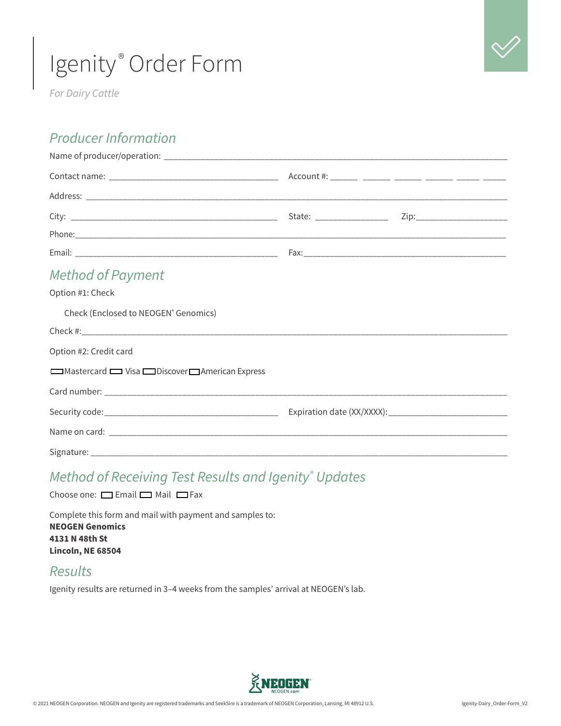

*For Dairy Cattle*

#### *Producer Information*

| <b>Method of Payment</b>                         |  |
|--------------------------------------------------|--|
| Option #1: Check                                 |  |
| Check (Enclosed to NEOGEN <sup>®</sup> Genomics) |  |
|                                                  |  |
| Option #2: Credit card                           |  |
| Mastercard U Visa Discover American Express      |  |
|                                                  |  |
|                                                  |  |
|                                                  |  |
|                                                  |  |

### *Method of Receiving Test Results and Igenity® Updates*

Choose one:  $\Box$  Email  $\Box$  Mail  $\Box$  Fax

Complete this form and mail with payment and samples to: **NEOGEN Genomics 4131 N 48th St Lincoln, NE 68504**

#### *Results*

Igenity results are returned in 3–4 weeks from the samples' arrival at NEOGEN's lab.

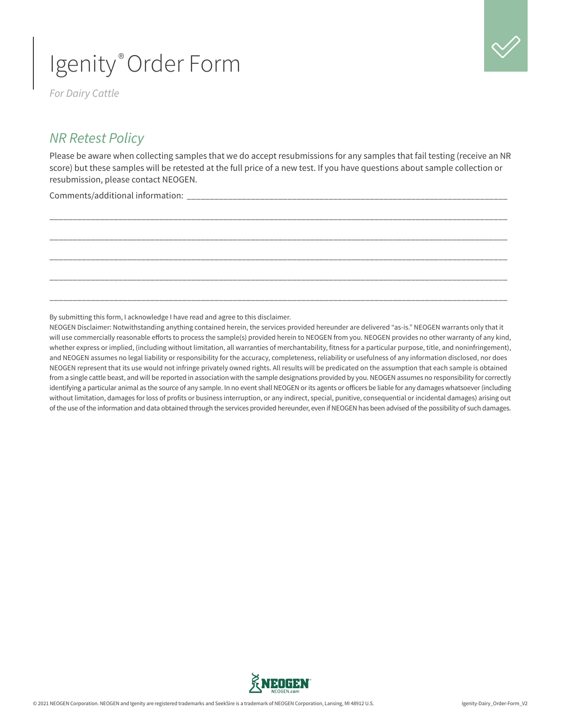*For Dairy Cattle*

#### *NR Retest Policy*

Please be aware when collecting samples that we do accept resubmissions for any samples that fail testing (receive an NR score) but these samples will be retested at the full price of a new test. If you have questions about sample collection or resubmission, please contact NEOGEN.

\_\_\_\_\_\_\_\_\_\_\_\_\_\_\_\_\_\_\_\_\_\_\_\_\_\_\_\_\_\_\_\_\_\_\_\_\_\_\_\_\_\_\_\_\_\_\_\_\_\_\_\_\_\_\_\_\_\_\_\_\_\_\_\_\_\_\_\_\_\_\_\_\_\_\_\_\_\_\_\_\_\_\_\_\_\_\_\_\_\_\_\_\_\_\_\_\_\_\_\_

\_\_\_\_\_\_\_\_\_\_\_\_\_\_\_\_\_\_\_\_\_\_\_\_\_\_\_\_\_\_\_\_\_\_\_\_\_\_\_\_\_\_\_\_\_\_\_\_\_\_\_\_\_\_\_\_\_\_\_\_\_\_\_\_\_\_\_\_\_\_\_\_\_\_\_\_\_\_\_\_\_\_\_\_\_\_\_\_\_\_\_\_\_\_\_\_\_\_\_\_

\_\_\_\_\_\_\_\_\_\_\_\_\_\_\_\_\_\_\_\_\_\_\_\_\_\_\_\_\_\_\_\_\_\_\_\_\_\_\_\_\_\_\_\_\_\_\_\_\_\_\_\_\_\_\_\_\_\_\_\_\_\_\_\_\_\_\_\_\_\_\_\_\_\_\_\_\_\_\_\_\_\_\_\_\_\_\_\_\_\_\_\_\_\_\_\_\_\_\_\_

\_\_\_\_\_\_\_\_\_\_\_\_\_\_\_\_\_\_\_\_\_\_\_\_\_\_\_\_\_\_\_\_\_\_\_\_\_\_\_\_\_\_\_\_\_\_\_\_\_\_\_\_\_\_\_\_\_\_\_\_\_\_\_\_\_\_\_\_\_\_\_\_\_\_\_\_\_\_\_\_\_\_\_\_\_\_\_\_\_\_\_\_\_\_\_\_\_\_\_\_

\_\_\_\_\_\_\_\_\_\_\_\_\_\_\_\_\_\_\_\_\_\_\_\_\_\_\_\_\_\_\_\_\_\_\_\_\_\_\_\_\_\_\_\_\_\_\_\_\_\_\_\_\_\_\_\_\_\_\_\_\_\_\_\_\_\_\_\_\_\_\_\_\_\_\_\_\_\_\_\_\_\_\_\_\_\_\_\_\_\_\_\_\_\_\_\_\_\_\_\_

Comments/additional information:

By submitting this form, I acknowledge I have read and agree to this disclaimer.

NEOGEN Disclaimer: Notwithstanding anything contained herein, the services provided hereunder are delivered "as-is." NEOGEN warrants only that it will use commercially reasonable efforts to process the sample(s) provided herein to NEOGEN from you. NEOGEN provides no other warranty of any kind, whether express or implied, (including without limitation, all warranties of merchantability, fitness for a particular purpose, title, and noninfringement), and NEOGEN assumes no legal liability or responsibility for the accuracy, completeness, reliability or usefulness of any information disclosed, nor does NEOGEN represent that its use would not infringe privately owned rights. All results will be predicated on the assumption that each sample is obtained from a single cattle beast, and will be reported in association with the sample designations provided by you. NEOGEN assumes no responsibility for correctly identifying a particular animal as the source of any sample. In no event shall NEOGEN or its agents or officers be liable for any damages whatsoever (including without limitation, damages for loss of profits or business interruption, or any indirect, special, punitive, consequential or incidental damages) arising out of the use of the information and data obtained through the services provided hereunder, even if NEOGEN has been advised of the possibility of such damages.

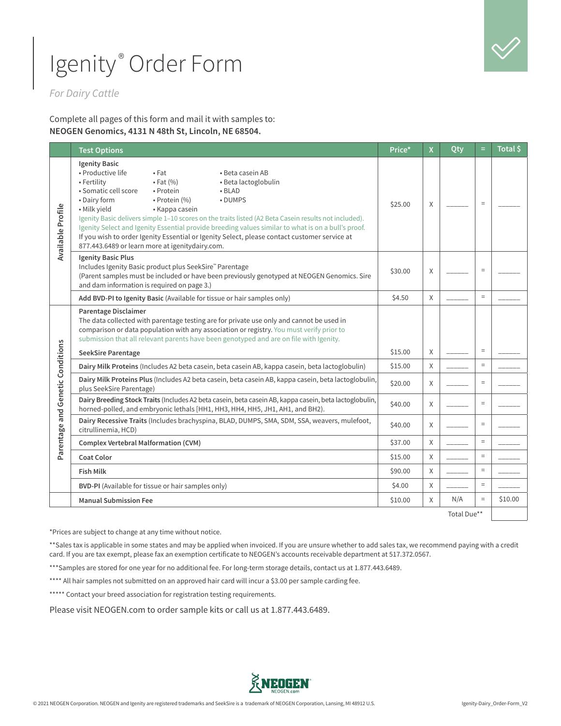

*For Dairy Cattle*

Complete all pages of this form and mail it with samples to: **NEOGEN Genomics, 4131 N 48th St, Lincoln, NE 68504.** 

|                                  | <b>Test Options</b>                                                                                                                                                                                                                                                                                                                                                                                                                                                                                                                                                                                                                      | Price*  | X | Qty         | Ξ        | Total \$ |
|----------------------------------|------------------------------------------------------------------------------------------------------------------------------------------------------------------------------------------------------------------------------------------------------------------------------------------------------------------------------------------------------------------------------------------------------------------------------------------------------------------------------------------------------------------------------------------------------------------------------------------------------------------------------------------|---------|---|-------------|----------|----------|
| Available Profile                | <b>Igenity Basic</b><br>• Productive life<br>$•$ Fat<br>• Beta casein AB<br>• Fertility<br>$\bullet$ Fat $(\% )$<br>· Beta lactoglobulin<br>· Somatic cell score<br>• Protein<br>$-BLAD$<br>• Dairy form<br>• Protein (%)<br>• DUMPS<br>• Milk yield<br>• Kappa casein<br>Igenity Basic delivers simple 1-10 scores on the traits listed (A2 Beta Casein results not included).<br>Igenity Select and Igenity Essential provide breeding values similar to what is on a bull's proof.<br>If you wish to order Igenity Essential or Igenity Select, please contact customer service at<br>877.443.6489 or learn more at igenitydairy.com. | \$25.00 | X |             | $\equiv$ |          |
|                                  | <b>Igenity Basic Plus</b><br>Includes Igenity Basic product plus SeekSire™ Parentage<br>(Parent samples must be included or have been previously genotyped at NEOGEN Genomics. Sire<br>and dam information is required on page 3.)                                                                                                                                                                                                                                                                                                                                                                                                       | \$30.00 | X |             | $\equiv$ |          |
|                                  | Add BVD-PI to Igenity Basic (Available for tissue or hair samples only)                                                                                                                                                                                                                                                                                                                                                                                                                                                                                                                                                                  | \$4.50  | X |             | $=$      |          |
|                                  | Parentage Disclaimer<br>The data collected with parentage testing are for private use only and cannot be used in<br>comparison or data population with any association or registry. You must verify prior to<br>submission that all relevant parents have been genotyped and are on file with Igenity.                                                                                                                                                                                                                                                                                                                                   |         |   |             |          |          |
|                                  | <b>SeekSire Parentage</b>                                                                                                                                                                                                                                                                                                                                                                                                                                                                                                                                                                                                                | \$15.00 | X |             | $\equiv$ |          |
|                                  | Dairy Milk Proteins (Includes A2 beta casein, beta casein AB, kappa casein, beta lactoglobulin)                                                                                                                                                                                                                                                                                                                                                                                                                                                                                                                                          | \$15.00 | X |             | $\equiv$ |          |
|                                  | Dairy Milk Proteins Plus (Includes A2 beta casein, beta casein AB, kappa casein, beta lactoglobulin,<br>plus SeekSire Parentage)                                                                                                                                                                                                                                                                                                                                                                                                                                                                                                         | \$20.00 | X |             | $\equiv$ |          |
|                                  | Dairy Breeding Stock Traits (Includes A2 beta casein, beta casein AB, kappa casein, beta lactoglobulin,<br>horned-polled, and embryonic lethals [HH1, HH3, HH4, HH5, JH1, AH1, and BH2).                                                                                                                                                                                                                                                                                                                                                                                                                                                 | \$40.00 | X |             | $=$      |          |
| Parentage and Genetic Conditions | Dairy Recessive Traits (Includes brachyspina, BLAD, DUMPS, SMA, SDM, SSA, weavers, mulefoot,<br>citrullinemia, HCD)                                                                                                                                                                                                                                                                                                                                                                                                                                                                                                                      | \$40.00 | X |             | $\equiv$ |          |
|                                  | <b>Complex Vertebral Malformation (CVM)</b>                                                                                                                                                                                                                                                                                                                                                                                                                                                                                                                                                                                              | \$37.00 | X |             | $=$      |          |
|                                  | <b>Coat Color</b>                                                                                                                                                                                                                                                                                                                                                                                                                                                                                                                                                                                                                        | \$15.00 | X |             | $\equiv$ |          |
|                                  | <b>Fish Milk</b>                                                                                                                                                                                                                                                                                                                                                                                                                                                                                                                                                                                                                         | \$90.00 | X |             | $=$      |          |
|                                  | BVD-PI (Available for tissue or hair samples only)                                                                                                                                                                                                                                                                                                                                                                                                                                                                                                                                                                                       | \$4.00  | Χ |             | $\equiv$ |          |
|                                  | <b>Manual Submission Fee</b>                                                                                                                                                                                                                                                                                                                                                                                                                                                                                                                                                                                                             | \$10.00 | X | N/A         | $\equiv$ | \$10.00  |
|                                  |                                                                                                                                                                                                                                                                                                                                                                                                                                                                                                                                                                                                                                          |         |   | Total Due** |          |          |

\*Prices are subject to change at any time without notice.

\*\*Sales tax is applicable in some states and may be applied when invoiced. If you are unsure whether to add sales tax, we recommend paying with a credit card. If you are tax exempt, please fax an exemption certificate to NEOGEN's accounts receivable department at 517.372.0567.

\*\*\* Samples are stored for one year for no additional fee. For long-term storage details, contact us at 1.877.443.6489.

\*\*\*\* All hair samples not submitted on an approved hair card will incur a \$3.00 per sample carding fee.

\*\*\*\*\* Contact your breed association for registration testing requirements.

Please visit NEOGEN.com to order sample kits or call us at 1.877.443.6489.

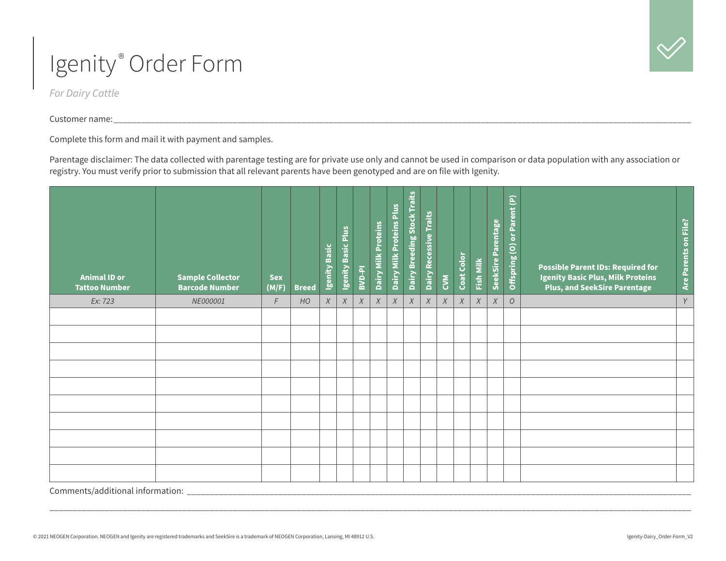*For Dairy Cattle*

Customer name: \_\_\_\_\_\_\_\_\_\_\_\_\_\_\_\_\_\_\_\_\_\_\_\_\_\_\_\_\_\_\_\_\_\_\_\_\_\_\_\_\_\_\_\_\_\_\_\_\_\_\_\_\_\_\_\_\_\_\_\_\_\_\_\_\_\_\_\_\_\_\_\_\_\_\_\_\_\_\_\_\_\_\_\_\_\_\_\_\_\_\_\_\_\_\_\_\_\_\_\_\_\_\_\_\_\_\_\_\_\_\_\_\_\_\_\_\_\_\_\_\_\_\_\_\_\_

Complete this form and mail it with payment and samples.

Parentage disclaimer: The data collected with parentage testing are for private use only and cannot be used in comparison or data population with any association or registry. You must verify prior to submission that all relevant parents have been genotyped and are on file with Igenity.

| <b>Animal ID or</b><br><b>Tattoo Number</b> | <b>Sample Collector</b><br><b>Barcode Number</b> | <b>Sex</b><br>(M/F) | <b>Breed</b> | Igenity Basic | Igenity Basic Plus | BVD-PI           | Dairy Milk Proteins | Dairy Milk Proteins Plus | <b>Dairy Breeding Stock Traits</b> | Dairy Recessive Traits | <b>KAC</b> | Coat Color | Fish Milk | SeekSire Parentage | Offspring (O) or Parent (P) | <b>Possible Parent IDs: Required for</b><br><b>Igenity Basic Plus, Milk Proteins</b><br><b>Plus, and SeekSire Parentage</b> | Are Parents on File? |
|---------------------------------------------|--------------------------------------------------|---------------------|--------------|---------------|--------------------|------------------|---------------------|--------------------------|------------------------------------|------------------------|------------|------------|-----------|--------------------|-----------------------------|-----------------------------------------------------------------------------------------------------------------------------|----------------------|
| Ex: 723                                     | NE000001                                         | F                   | HO           | $\chi$        | $\chi$             | $\boldsymbol{X}$ | $\chi$              | $\chi$                   | $\boldsymbol{X}$                   | X                      | $\chi$     | X          | X         | $\boldsymbol{X}$   | $\overline{O}$              |                                                                                                                             | $\gamma$             |
|                                             |                                                  |                     |              |               |                    |                  |                     |                          |                                    |                        |            |            |           |                    |                             |                                                                                                                             |                      |
|                                             |                                                  |                     |              |               |                    |                  |                     |                          |                                    |                        |            |            |           |                    |                             |                                                                                                                             |                      |
|                                             |                                                  |                     |              |               |                    |                  |                     |                          |                                    |                        |            |            |           |                    |                             |                                                                                                                             |                      |
|                                             |                                                  |                     |              |               |                    |                  |                     |                          |                                    |                        |            |            |           |                    |                             |                                                                                                                             |                      |
|                                             |                                                  |                     |              |               |                    |                  |                     |                          |                                    |                        |            |            |           |                    |                             |                                                                                                                             |                      |
|                                             |                                                  |                     |              |               |                    |                  |                     |                          |                                    |                        |            |            |           |                    |                             |                                                                                                                             |                      |
|                                             |                                                  |                     |              |               |                    |                  |                     |                          |                                    |                        |            |            |           |                    |                             |                                                                                                                             |                      |
|                                             |                                                  |                     |              |               |                    |                  |                     |                          |                                    |                        |            |            |           |                    |                             |                                                                                                                             |                      |
|                                             |                                                  |                     |              |               |                    |                  |                     |                          |                                    |                        |            |            |           |                    |                             |                                                                                                                             |                      |
|                                             |                                                  |                     |              |               |                    |                  |                     |                          |                                    |                        |            |            |           |                    |                             |                                                                                                                             |                      |

Comments/additional information: \_\_\_\_\_\_\_\_\_\_\_\_\_\_\_\_\_\_\_\_\_\_\_\_\_\_\_\_\_\_\_\_\_\_\_\_\_\_\_\_\_\_\_\_\_\_\_\_\_\_\_\_\_\_\_\_\_\_\_\_\_\_\_\_\_\_\_\_\_\_\_\_\_\_\_\_\_\_\_\_\_\_\_\_\_\_\_\_\_\_\_\_\_\_\_\_\_\_\_\_\_\_\_\_\_\_\_\_\_\_

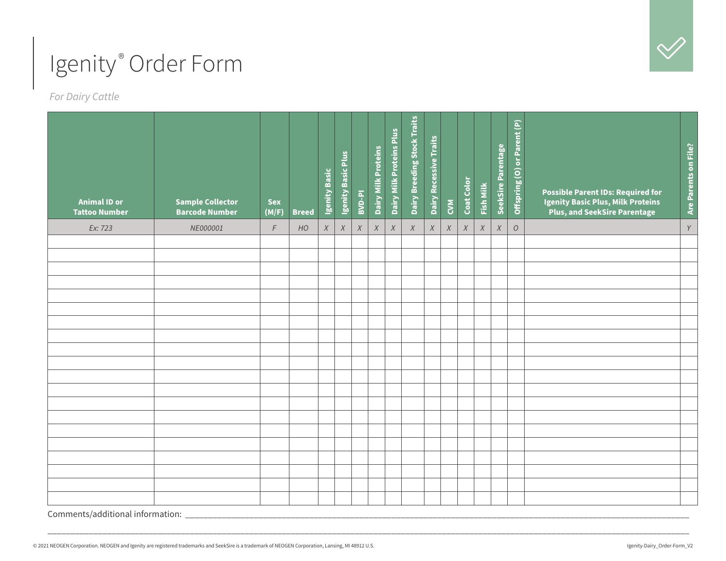

*For Dairy Cattle*

| <b>Animal ID or</b><br><b>Tattoo Number</b> | <b>Sample Collector</b><br><b>Barcode Number</b> | <b>Sex</b><br>(M/F) | <b>Breed</b> | Igenity Basic | Igenity Basic Plus | BVD-PI | Dairy Milk Proteins | Dairy Milk Proteins Plus | Dairy Breeding Stock Traits | <b>Dairy Recessive Traits</b> | $\sum_{i=1}^{N}$ | Coat Color       | <b>Fish Milk</b> | SeekSire Parentage | Offspring (O) or Parent (P) | <b>Possible Parent IDs: Required for</b><br><b>Igenity Basic Plus, Milk Proteins</b><br><b>Plus, and SeekSire Parentage</b> | Are Parents on File? |
|---------------------------------------------|--------------------------------------------------|---------------------|--------------|---------------|--------------------|--------|---------------------|--------------------------|-----------------------------|-------------------------------|------------------|------------------|------------------|--------------------|-----------------------------|-----------------------------------------------------------------------------------------------------------------------------|----------------------|
| Ex: 723                                     | NE000001                                         | $\digamma$          | HO           | $\chi$        | $\boldsymbol{X}$   | $\chi$ | $\chi$              | $\chi$                   | $\chi$                      | $\boldsymbol{X}$              | $\chi$           | $\boldsymbol{X}$ | $\chi$           | $\chi$             | $\cal O$                    |                                                                                                                             | $\gamma$             |
|                                             |                                                  |                     |              |               |                    |        |                     |                          |                             |                               |                  |                  |                  |                    |                             |                                                                                                                             |                      |
|                                             |                                                  |                     |              |               |                    |        |                     |                          |                             |                               |                  |                  |                  |                    |                             |                                                                                                                             |                      |
|                                             |                                                  |                     |              |               |                    |        |                     |                          |                             |                               |                  |                  |                  |                    |                             |                                                                                                                             |                      |
|                                             |                                                  |                     |              |               |                    |        |                     |                          |                             |                               |                  |                  |                  |                    |                             |                                                                                                                             |                      |
|                                             |                                                  |                     |              |               |                    |        |                     |                          |                             |                               |                  |                  |                  |                    |                             |                                                                                                                             |                      |
|                                             |                                                  |                     |              |               |                    |        |                     |                          |                             |                               |                  |                  |                  |                    |                             |                                                                                                                             |                      |
|                                             |                                                  |                     |              |               |                    |        |                     |                          |                             |                               |                  |                  |                  |                    |                             |                                                                                                                             |                      |
|                                             |                                                  |                     |              |               |                    |        |                     |                          |                             |                               |                  |                  |                  |                    |                             |                                                                                                                             |                      |
|                                             |                                                  |                     |              |               |                    |        |                     |                          |                             |                               |                  |                  |                  |                    |                             |                                                                                                                             |                      |
|                                             |                                                  |                     |              |               |                    |        |                     |                          |                             |                               |                  |                  |                  |                    |                             |                                                                                                                             |                      |
|                                             |                                                  |                     |              |               |                    |        |                     |                          |                             |                               |                  |                  |                  |                    |                             |                                                                                                                             |                      |
|                                             |                                                  |                     |              |               |                    |        |                     |                          |                             |                               |                  |                  |                  |                    |                             |                                                                                                                             |                      |
|                                             |                                                  |                     |              |               |                    |        |                     |                          |                             |                               |                  |                  |                  |                    |                             |                                                                                                                             |                      |
|                                             |                                                  |                     |              |               |                    |        |                     |                          |                             |                               |                  |                  |                  |                    |                             |                                                                                                                             |                      |
|                                             |                                                  |                     |              |               |                    |        |                     |                          |                             |                               |                  |                  |                  |                    |                             |                                                                                                                             |                      |
|                                             |                                                  |                     |              |               |                    |        |                     |                          |                             |                               |                  |                  |                  |                    |                             |                                                                                                                             |                      |
|                                             |                                                  |                     |              |               |                    |        |                     |                          |                             |                               |                  |                  |                  |                    |                             |                                                                                                                             |                      |
|                                             |                                                  |                     |              |               |                    |        |                     |                          |                             |                               |                  |                  |                  |                    |                             |                                                                                                                             |                      |

\_\_\_\_\_\_\_\_\_\_\_\_\_\_\_\_\_\_\_\_\_\_\_\_\_\_\_\_\_\_\_\_\_\_\_\_\_\_\_\_\_\_\_\_\_\_\_\_\_\_\_\_\_\_\_\_\_\_\_\_\_\_\_\_\_\_\_\_\_\_\_\_\_\_\_\_\_\_\_\_\_\_\_\_\_\_\_\_\_\_\_\_\_\_\_\_\_\_\_\_\_\_\_\_\_\_\_\_\_\_\_\_\_\_\_\_\_\_\_\_\_\_\_\_\_\_\_\_\_\_\_\_\_\_\_\_\_\_\_\_

Comments/additional information: \_\_\_\_\_\_\_\_\_\_\_\_\_\_\_\_\_\_\_\_\_\_\_\_\_\_\_\_\_\_\_\_\_\_\_\_\_\_\_\_\_\_\_\_\_\_\_\_\_\_\_\_\_\_\_\_\_\_\_\_\_\_\_\_\_\_\_\_\_\_\_\_\_\_\_\_\_\_\_\_\_\_\_\_\_\_\_\_\_\_\_\_\_\_\_\_\_\_\_\_\_\_\_\_\_\_\_\_\_\_